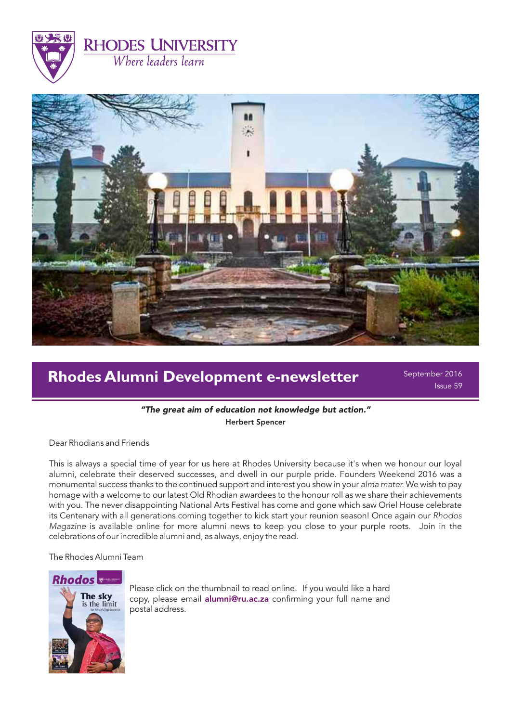



# **Rhodes Alumni Development e-newsletter**

September 2016 Issue 59

"The great aim of education not knowledge but action." Herbert Spencer

Dear Rhodians and Friends

This is always a special time of year for us here at Rhodes University because it's when we honour our loyal alumni, celebrate their deserved successes, and dwell in our purple pride. Founders Weekend 2016 was a monumental success thanks to the continued support and interest you show in your alma mater. We wish to pay homage with a welcome to our latest Old Rhodian awardees to the honour roll as we share their achievements with you. The never disappointing National Arts Festival has come and gone which saw Oriel House celebrate its Centenary with all generations coming together to kick start your reunion season! Once again our Rhodos Magazine is available online for more alumni news to keep you close to your purple roots. Join in the celebrations of our incredible alumni and, as always, enjoy the read.

The Rhodes Alumni Team



Please click on the thumbnail to read online. If you would like a hard copy, please email **alumni@ru.ac.za** confirming your full name and postal address.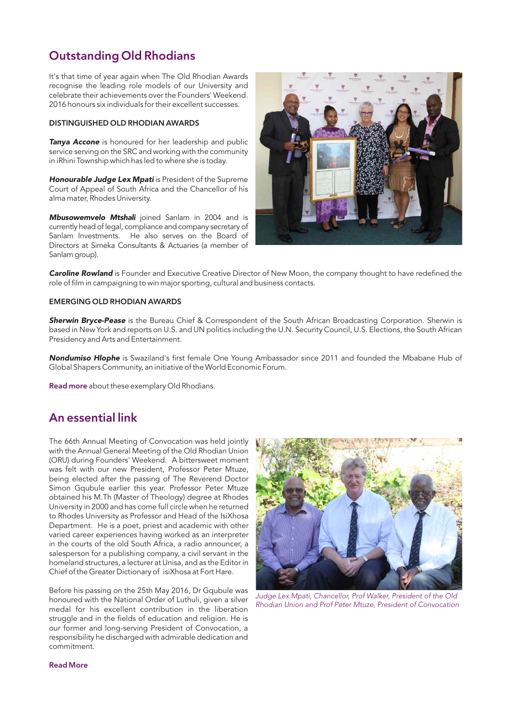# Outstanding Old Rhodians

It's that time of year again when The Old Rhodian Awards recognise the leading role models of our University and celebrate their achievements over the Founders' Weekend. 2016 honours six individuals for their excellent successes.

### DISTINGUISHED OLD RHODIAN AWARDS

**Tanya Accone** is honoured for her leadership and public service serving on the SRC and working with the community in iRhini Township which has led to where she is today.

Honourable Judge Lex Mpati is President of the Supreme Court of Appeal of South Africa and the Chancellor of his alma mater, Rhodes University.

Mbusowemvelo Mtshali joined Sanlam in 2004 and is currently head of legal, compliance and company secretary of Sanlam Investments. He also serves on the Board of Directors at Simeka Consultants & Actuaries (a member of Sanlam group).



Caroline Rowland is Founder and Executive Creative Director of New Moon, the company thought to have redefined the role of film in campaigning to win major sporting, cultural and business contacts.

### EMERGING OLD RHODIAN AWARDS

Sherwin Bryce-Pease is the Bureau Chief & Correspondent of the South African Broadcasting Corporation. Sherwin is based in New York and reports on U.S. and UN politics including the U.N. Security Council, U.S. Elections, the South African Presidency and Arts and Entertainment.

Nondumiso Hlophe is Swaziland's first female One Young Ambassador since 2011 and founded the Mbabane Hub of Global Shapers Community, an initiative of the World Economic Forum.

[Read more](http://www.ru.ac.za/communicationsandadvancement/alumnirelations/theorunion/oldrhodianawards/2016recipients/) about these exemplary Old Rhodians.

## An essential link

The 66th Annual Meeting of Convocation was held jointly with the Annual General Meeting of the Old Rhodian Union (ORU) during Founders' Weekend. A bittersweet moment was felt with our new President, Professor Peter Mtuze, being elected after the passing of The Reverend Doctor Simon Gqubule earlier this year. Professor Peter Mtuze obtained his M.Th (Master of Theology) degree at Rhodes University in 2000 and has come full circle when he returned to Rhodes University as Professor and Head of the IsiXhosa Department. He is a poet, priest and academic with other varied career experiences having worked as an interpreter in the courts of the old South Africa, a radio announcer, a salesperson for a publishing company, a civil servant in the homeland structures, a lecturer at Unisa, and as the Editor in Chief of the Greater Dictionary of isiXhosa at Fort Hare.

Before his passing on the 25th May 2016, Dr Gqubule was honoured with the National Order of Luthuli, given a silver medal for his excellent contribution in the liberation struggle and in the fields of education and religion. He is our former and long-serving President of Convocation, a responsibility he discharged with admirable dedication and commitment.



Judge Lex Mpati, Chancellor, Prof Walker, President of the Old Rhodian Union and Prof Peter Mtuze, President of Convocation

### [Read More](http://www.ru.ac.za/communicationsandadvancement/alumnirelations/news/deceased2016/revdrgqubule/)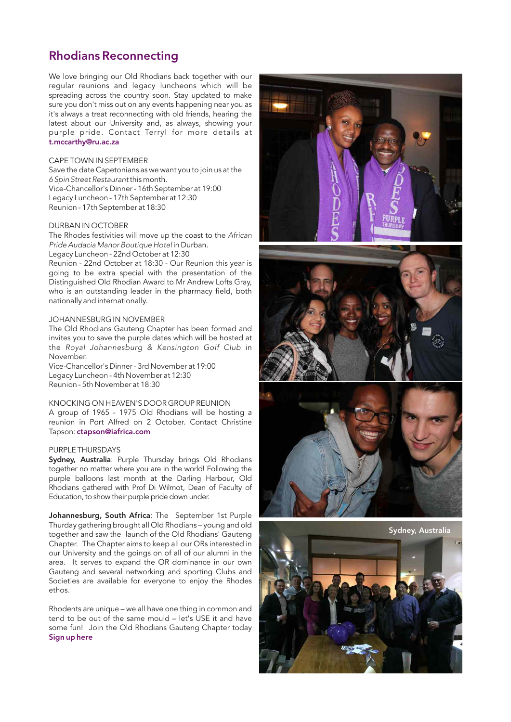### Rhodians Reconnecting

We love bringing our Old Rhodians back together with our regular reunions and legacy luncheons which will be spreading across the country soon. Stay updated to make sure you don't miss out on any events happening near you it's always a treat reconnecting with old friends, hearing the latest about our University and, as always, showing your purple pride. Contact Terryl for more details at [t.mccarthy@ru.ac.za](mailto:t.mccarthy@ru.ac.za) 

### CAPE TOWN IN SEPTEMBER

Save the date Capetonians as we want you to join us at the 6 Spin Street Restaurant this month. Vice-Chancellor's Dinner - 16th September at 19:00 Legacy Luncheon - 17th September at 12:30 Reunion - 17th September at 18:30

#### DURBAN IN OCTOBER

The Rhodes festivities will move up the coast to the African Pride Audacia Manor Boutique Hotel in Durban.

Legacy Luncheon - 22nd October at 12:30

Reunion - 22nd October at 18:30 - Our Reunion this year is going to be extra special with the presentation of the Distinguished Old Rhodian Award to Mr Andrew Lofts Gray, who is an outstanding leader in the pharmacy field, both nationally and internationally .

#### JOHANNESBURG IN NOVEMBER

The Old Rhodians Gauteng Chapter has been formed and invites you to save the purple dates which will be hosted at the Royal Johannesburg & Kensington Golf Club in November. Vice-Chancellor's Dinner - 3rd November at 19:00

Legacy Luncheon - 4th November at 12:30 Reunion - 5th November at 18:30

KNOCKING ON HEAVEN'S DOOR GROUP REUNION<br>A group of 1965 - 1975 Old Rhodians will be hosting a reunion in Port Alfred on 2 October. Contact Christine Tapson[:](mailto:ctapson@iafrica.com) ctapson@iafrica.com

### PURPLE THURSDAYS

Sydney, Australia: Purple Thursday brings Old Rhodians together no matter where you are in the world! Following the purple balloons last month at the Darling Harbour, Old Rhodians gathered with Prof Di Wilmot, Dean of Faculty of Education, to show their purple pride down under.

Johannesburg, South Africa: The September 1st Purple Thurday gathering brought all Old Rhodians – young and old together and saw the launch of the Old Rhodians' Gauteng Chapter. The Chapter aims to keep all our ORs interested in our University and the goings on of all of our alumni in the area. It serves to expand the OR dominance in our own Gauteng and several networking and sporting Clubs and Societies are available for everyone to enjoy the Rhodes ethos.

Rhodents are unique – we all have one thing in common and tend to be out of the same mould – let's USE it and have some fun! Join the Old Rhodians Gauteng Chapter today [Sign up her](http://www.ru.ac.za/communicationsandadvancement/alumnirelations/theorunion/oldrhodiansgautengchapter/oldrhodiansgautengchapter.html) e







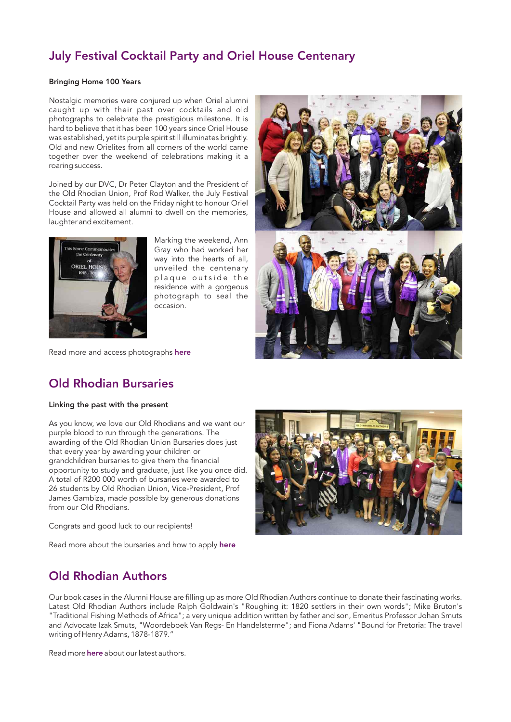# July Festival Cocktail Party and Oriel House Centenary

### Bringing Home 100 Years

Nostalgic memories were conjured up when Oriel alumni caught up with their past over cocktails and old photographs to celebrate the prestigious milestone. It is hard to believe that it has been 100 years since Oriel House was established, yet its purple spirit still illuminates brightly. Old and new Orielites from all corners of the world came together over the weekend of celebrations making it a roaring success.

Joined by our DVC, Dr Peter Clayton and the President of the Old Rhodian Union, Prof Rod Walker, the July Festival Cocktail Party was held on the Friday night to honour Oriel House and allowed all alumni to dwell on the memories, laughter and excitement.



Marking the weekend, Ann Gray who had worked her way into the hearts of all, unveiled the centenary plaque outside the residence with a gorgeous photograph to seal the occasion.





Read more and access photographs [here](http://www.ru.ac.za/communicationsandadvancement/alumnirelations/events/feedbackonpastevents/orielhousecentenaryandfestivalcocktailcelebrations.html)

# Old Rhodian Bursaries

### Linking the past with the present

As you know, we love our Old Rhodians and we want our purple blood to run through the generations. The awarding of the Old Rhodian Union Bursaries does just that every year by awarding your children or grandchildren bursaries to give them the financial opportunity to study and graduate, just like you once did. A total of R200 000 worth of bursaries were awarded to 26 students by Old Rhodian Union, Vice-President, Prof James Gambiza, made possible by generous donations from our Old Rhodians.

Congrats and good luck to our recipients!

Read more about the bursaries and how to apply [here](http://www.ru.ac.za/communicationsandadvancement/alumnirelations/theorunion/orubursaryawards/)



### Old Rhodian Authors

Our book cases in the Alumni House are filling up as more Old Rhodian Authors continue to donate their fascinating works. Latest Old Rhodian Authors include Ralph Goldwain's "Roughing it: 1820 settlers in their own words"; Mike Bruton's "Traditional Fishing Methods of Africa"; a very unique addition written by father and son, Emeritus Professor Johan Smuts and Advocate Izak Smuts, "Woordeboek Van Regs- En Handelsterme"; and Fiona Adams' "Bound for Pretoria: The travel writing of Henry Adams, 1878-1879."

Read more **[here](http://www.ru.ac.za/communicationsandadvancement/alumnirelations/orauthors/latestbooksdonatedtoru/)** about our latest authors.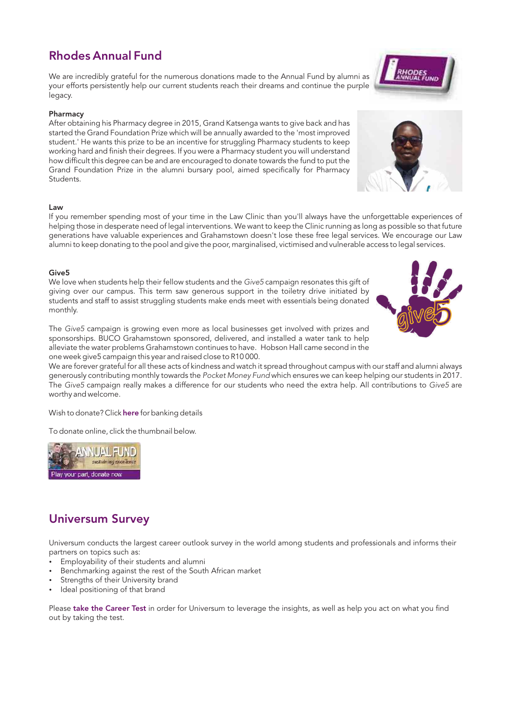# Rhodes Annual Fund

We are incredibly grateful for the numerous donations made to the Annual Fund by alumni as your efforts persistently help our current students reach their dreams and continue the purple legacy.

### Pharmacy

After obtaining his Pharmacy degree in 2015, Grand Katsenga wants to give back and has started the Grand Foundation Prize which will be annually awarded to the 'most improved student.' He wants this prize to be an incentive for struggling Pharmacy students to keep working hard and finish their degrees. If you were a Pharmacy student you will understand how difficult this degree can be and are encouraged to donate towards the fund to put the Grand Foundation Prize in the alumni bursary pool, aimed specifically for Pharmacy Students.

### Law

If you remember spending most of your time in the Law Clinic than you'll always have the unforgettable experiences of helping those in desperate need of legal interventions. We want to keep the Clinic running as long as possible so that future generations have valuable experiences and Grahamstown doesn't lose these free legal services. We encourage our Law alumni to keep donating to the pool and give the poor, marginalised, victimised and vulnerable access to legal services.

### Give5

We love when students help their fellow students and the Give5 campaign resonates this gift of giving over our campus. This term saw generous support in the toiletry drive initiated by students and staff to assist struggling students make ends meet with essentials being donated monthly.

The Give5 campaign is growing even more as local businesses get involved with prizes and sponsorships. BUCO Grahamstown sponsored, delivered, and installed a water tank to help alleviate the water problems Grahamstown continues to have. Hobson Hall came second in the one week give5 campaign this year and raised close to R10 000.

We are forever grateful for all these acts of kindness and watch it spread throughout campus with our staff and alumni always generously contributing monthly towards the Pocket Money Fund which ensures we can keep helping our students in 2017. The Give5 campaign really makes a difference for our students who need the extra help. All contributions to Give5 are worthy and welcome.

Wish to donate? Click here for banking details

To donate online, click the thumbnail below.



# Universum Survey

Universum conducts the largest career outlook survey in the world among students and professionals and informs their partners on topics such as:

- Employability of their students and alumni
- Benchmarking against the rest of the South African market
- Strengths of their University brand
- Ideal positioning of that brand

Please [take the Career Test](careertest.universumglobal.com/s/zaps1050) in order for Universum to leverage the insights, as well as help you act on what you find out by taking the test.





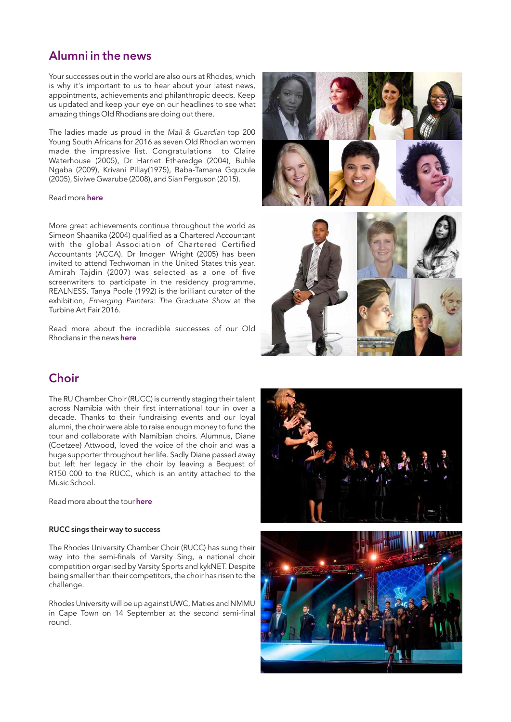### Alumni in the news

Your successes out in the world are also ours at Rhodes, which is why it's important to us to hear about your latest news, appointments, achievements and philanthropic deeds. Keep us updated and keep your eye on our headlines to see what amazing things Old Rhodians are doing out there.

The ladies made us proud in the Mail & Guardian top 200 Young South Africans for 2016 as seven Old Rhodian women made the impressive list. Congratulations to Claire Waterhouse (2005), Dr Harriet Etheredge (2004), Buhle Ngaba (2009), Krivani Pillay(1975), Baba-Tamana Gqubule (2005), Siviwe Gwarube (2008), and Sian Ferguson (2015).

### Read more [here](http://www.ru.ac.za/communicationsandadvancement/alumnirelations/news/mailguardian200youngsouthafricans2016.html)

More great achievements continue throughout the world as Simeon Shaanika (2004) qualified as a Chartered Accountant with the global Association of Chartered Certified Accountants (ACCA). Dr Imogen Wright (2005) has been invited to attend Techwoman in the United States this year. Amirah Tajdin (2007) was selected as a one of five screenwriters to participate in the residency programme, REALNESS. Tanya Poole (1992) is the brilliant curator of the exhibition, Emerging Painters: The Graduate Show at the Turbine Art Fair 2016.

Read more about the incredible successes of our Old Rhodians in the news [here](http://www.ru.ac.za/communicationsandadvancement/alumnirelations/)



The RU Chamber Choir (RUCC) is currently staging their talent across Namibia with their first international tour in over a decade. Thanks to their fundraising events and our loyal alumni, the choir were able to raise enough money to fund the tour and collaborate with Namibian choirs. Alumnus, Diane (Coetzee) Attwood, loved the voice of the choir and was a huge supporter throughout her life. Sadly Diane passed away but left her legacy in the choir by leaving a Bequest of R150 000 to the RUCC, which is an entity attached to the Music School.

Read more about the tour [here](http://www.ru.ac.za/communicationsandadvancement/alumnirelations/studentradactivities/chamberchoir/)

### RUCC sings their way to success

The Rhodes University Chamber Choir (RUCC) has sung their way into the semi-finals of Varsity Sing, a national choir competition organised by Varsity Sports and kykNET. Despite being smaller than their competitors, the choir has risen to the challenge.

Rhodes University will be up against UWC, Maties and NMMU in Cape Town on 14 September at the second semi-final round.







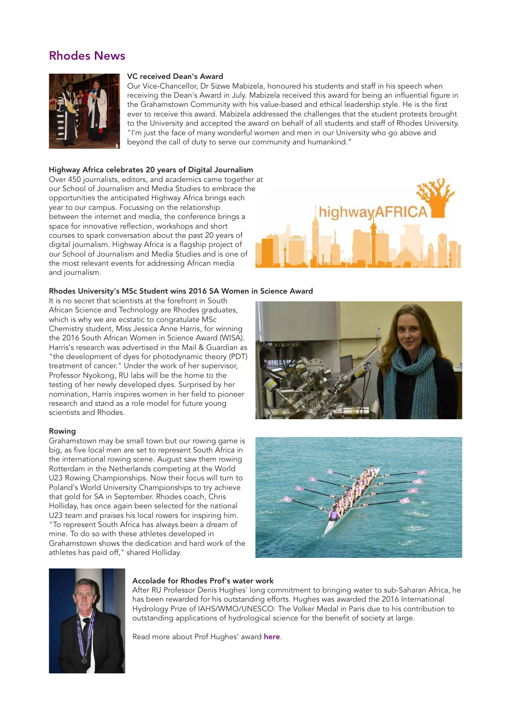### Rhodes News



### VC received Dean's Award

Our Vice-Chancellor, Dr Sizwe Mabizela, honoured his students and staff in his speech when receiving the Dean's Award in July. Mabizela received this award for being an influential figure in the Grahamstown Community with his value-based and ethical leadership style. He is the first ever to receive this award. Mabizela addressed the challenges that the student protests brought to the University and accepted the award on behalf of all students and staff of Rhodes University. "I'm just the face of many wonderful women and men in our University who go above and beyond the call of duty to serve our community and humankind."

### Highway Africa celebrates 20 years of Digital Journalism

Over 450 journalists, editors, and academics came together at our School of Journalism and Media Studies to embrace the opportunities the anticipated Highway Africa brings each year to our campus. Focussing on the relationship between the internet and media, the conference brings a space for innovative reflection, workshops and short courses to spark conversation about the past 20 years of digital journalism. Highway Africa is a flagship project of our School of Journalism and Media Studies and is one of the most relevant events for addressing African media and journalism.



### Rhodes University's MSc Student wins 2016 SA Women in Science Award

It is no secret that scientists at the forefront in South African Science and Technology are Rhodes graduates, which is why we are ecstatic to congratulate MSc Chemistry student, Miss Jessica Anne Harris, for winning the 2016 South African Women in Science Award (WISA). Harris's research was advertised in the Mail & Guardian as "the development of dyes for photodynamic theory (PDT) treatment of cancer." Under the work of her supervisor, Professor Nyokong, RU labs will be the home to the testing of her newly developed dyes. Surprised by her nomination, Harris inspires women in her field to pioneer research and stand as a role model for future young scientists and Rhodes.

### Rowing

Grahamstown may be small town but our rowing game is big, as five local men are set to represent South Africa in the international rowing scene. August saw them rowing Rotterdam in the Netherlands competing at the World U23 Rowing Championships. Now their focus will turn to Poland's World University Championships to try achieve that gold for SA in September. Rhodes coach, Chris Holliday, has once again been selected for the national U23 team and praises his local rowers for inspiring him. "To represent South Africa has always been a dream of mine. To do so with these athletes developed in Grahamstown shows the dedication and hard work of the athletes has paid off," shared Holliday.







### Accolade for Rhodes Prof's water work

After RU Professor Denis Hughes' long commitment to bringing water to sub-Saharan Africa, he has been rewarded for his outstanding efforts. Hughes was awarded the 2016 International Hydrology Prize of IAHS/WMO/UNESCO: The Volker Medal in Paris due to his contribution to outstanding applications of hydrological science for the benefit of society at large.

Read more about Prof Hughes' award here.